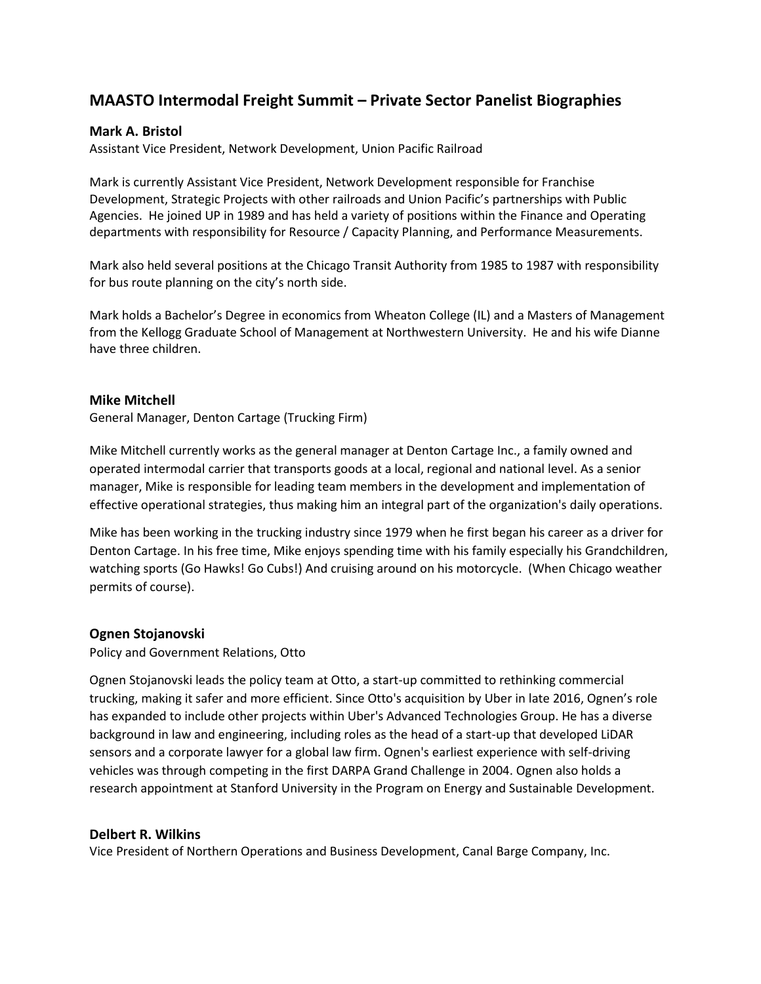# **MAASTO Intermodal Freight Summit – Private Sector Panelist Biographies**

## **Mark A. Bristol**

Assistant Vice President, Network Development, Union Pacific Railroad

Mark is currently Assistant Vice President, Network Development responsible for Franchise Development, Strategic Projects with other railroads and Union Pacific's partnerships with Public Agencies. He joined UP in 1989 and has held a variety of positions within the Finance and Operating departments with responsibility for Resource / Capacity Planning, and Performance Measurements.

Mark also held several positions at the Chicago Transit Authority from 1985 to 1987 with responsibility for bus route planning on the city's north side.

Mark holds a Bachelor's Degree in economics from Wheaton College (IL) and a Masters of Management from the Kellogg Graduate School of Management at Northwestern University. He and his wife Dianne have three children.

### **Mike Mitchell**

General Manager, Denton Cartage (Trucking Firm)

Mike Mitchell currently works as the general manager at Denton Cartage Inc., a family owned and operated intermodal carrier that transports goods at a local, regional and national level. As a senior manager, Mike is responsible for leading team members in the development and implementation of effective operational strategies, thus making him an integral part of the organization's daily operations.

Mike has been working in the trucking industry since 1979 when he first began his career as a driver for Denton Cartage. In his free time, Mike enjoys spending time with his family especially his Grandchildren, watching sports (Go Hawks! Go Cubs!) And cruising around on his motorcycle. (When Chicago weather permits of course).

### **Ognen Stojanovski**

Policy and Government Relations, Otto

Ognen Stojanovski leads the policy team at Otto, a start-up committed to rethinking commercial trucking, making it safer and more efficient. Since Otto's acquisition by Uber in late 2016, Ognen's role has expanded to include other projects within Uber's Advanced Technologies Group. He has a diverse background in law and engineering, including roles as the head of a start-up that developed LiDAR sensors and a corporate lawyer for a global law firm. Ognen's earliest experience with self-driving vehicles was through competing in the first DARPA Grand Challenge in 2004. Ognen also holds a research appointment at Stanford University in the Program on Energy and Sustainable Development.

### **Delbert R. Wilkins**

Vice President of Northern Operations and Business Development, Canal Barge Company, Inc.